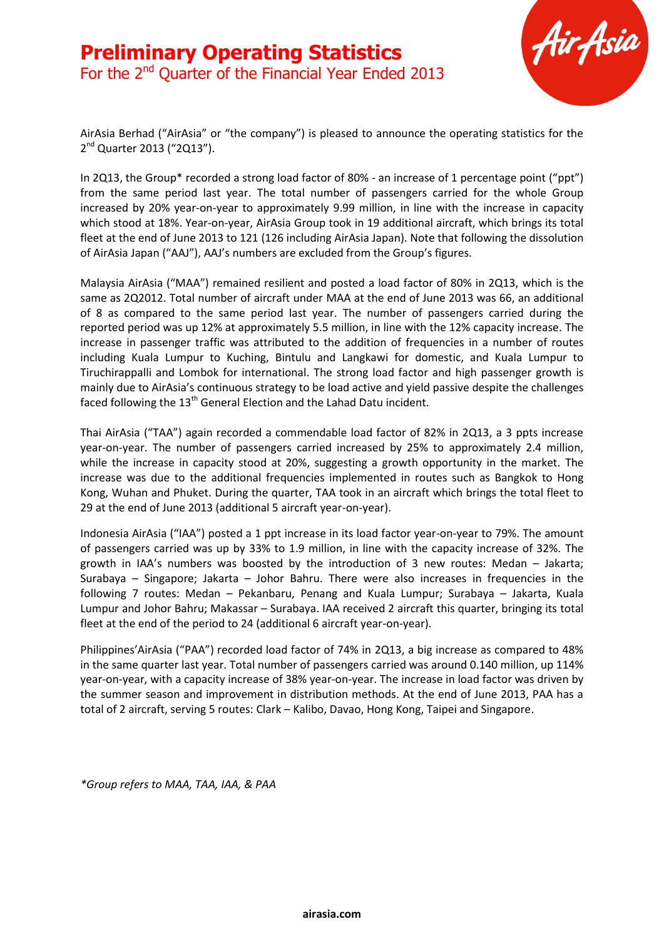

AirAsia Berhad ("AirAsia" or "the company") is pleased to announce the operating statistics for the 2<sup>nd</sup> Quarter 2013 ("2Q13").

In 2Q13, the Group\* recorded a strong load factor of 80% - an increase of 1 percentage point ("ppt") from the same period last year. The total number of passengers carried for the whole Group increased by 20% year-on-year to approximately 9.99 million, in line with the increase in capacity which stood at 18%. Year-on-year, AirAsia Group took in 19 additional aircraft, which brings its total fleet at the end of June 2013 to 121 (126 including AirAsia Japan). Note that following the dissolution of AirAsia Japan ("AAJ"), AAJ's numbers are excluded from the Group's figures.

Malaysia AirAsia ("MAA") remained resilient and posted a load factor of 80% in 2Q13, which is the same as 2Q2012. Total number of aircraft under MAA at the end of June 2013 was 66, an additional of 8 as compared to the same period last year. The number of passengers carried during the reported period was up 12% at approximately 5.5 million, in line with the 12% capacity increase. The increase in passenger traffic was attributed to the addition of frequencies in a number of routes including Kuala Lumpur to Kuching, Bintulu and Langkawi for domestic, and Kuala Lumpur to Tiruchirappalli and Lombok for international. The strong load factor and high passenger growth is mainly due to AirAsia's continuous strategy to be load active and yield passive despite the challenges faced following the  $13<sup>th</sup>$  General Election and the Lahad Datu incident.

Thai AirAsia ("TAA") again recorded a commendable load factor of 82% in 2Q13, a 3 ppts increase year-on-year. The number of passengers carried increased by 25% to approximately 2.4 million, while the increase in capacity stood at 20%, suggesting a growth opportunity in the market. The increase was due to the additional frequencies implemented in routes such as Bangkok to Hong Kong, Wuhan and Phuket. During the quarter, TAA took in an aircraft which brings the total fleet to 29 at the end of June 2013 (additional 5 aircraft year-on-year).

Indonesia AirAsia ("IAA") posted a 1 ppt increase in its load factor year-on-year to 79%. The amount of passengers carried was up by 33% to 1.9 million, in line with the capacity increase of 32%. The growth in IAA's numbers was boosted by the introduction of 3 new routes: Medan – Jakarta; Surabaya – Singapore; Jakarta – Johor Bahru. There were also increases in frequencies in the following 7 routes: Medan – Pekanbaru, Penang and Kuala Lumpur; Surabaya – Jakarta, Kuala Lumpur and Johor Bahru; Makassar – Surabaya. IAA received 2 aircraft this quarter, bringing its total fleet at the end of the period to 24 (additional 6 aircraft year-on-year).

Philippines'AirAsia ("PAA") recorded load factor of 74% in 2Q13, a big increase as compared to 48% in the same quarter last year. Total number of passengers carried was around 0.140 million, up 114% year-on-year, with a capacity increase of 38% year-on-year. The increase in load factor was driven by the summer season and improvement in distribution methods. At the end of June 2013, PAA has a total of 2 aircraft, serving 5 routes: Clark – Kalibo, Davao, Hong Kong, Taipei and Singapore.

*\*Group refers to MAA, TAA, IAA, & PAA*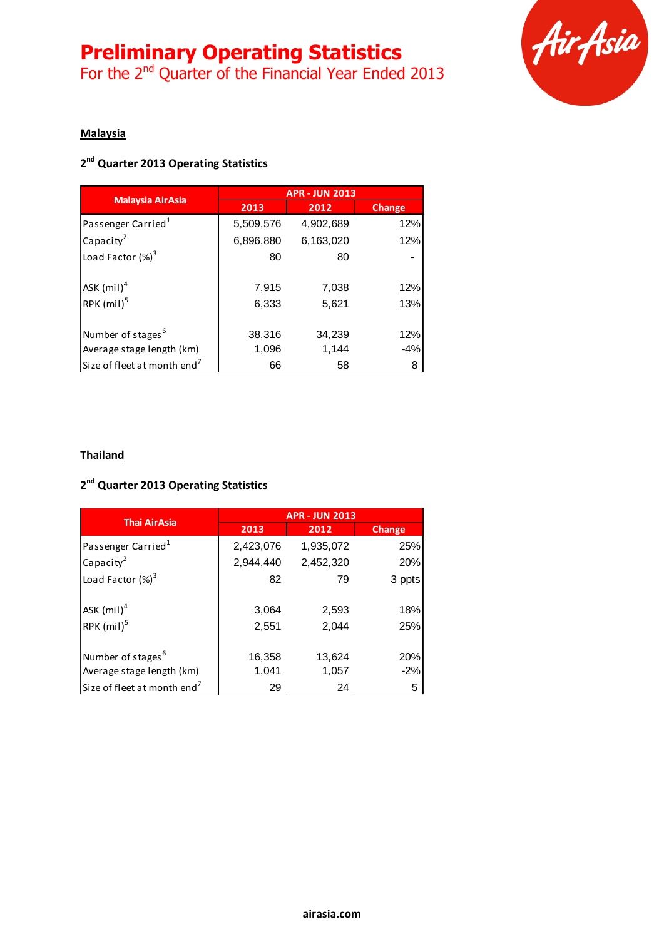# **Preliminary Operating Statistics**

For the 2<sup>nd</sup> Quarter of the Financial Year Ended 2013



### **Malaysia**

## **2 nd Quarter 2013 Operating Statistics**

| <b>Malaysia AirAsia</b>                                    | <b>APR - JUN 2013</b> |                 |               |
|------------------------------------------------------------|-----------------------|-----------------|---------------|
|                                                            | 2013                  | 2012            | <b>Change</b> |
| Passenger Carried <sup>1</sup>                             | 5,509,576             | 4,902,689       | 12%           |
| Capacity <sup>2</sup>                                      | 6,896,880             | 6,163,020       | 12%           |
| Load Factor $(\%)^3$                                       | 80                    | 80              |               |
| ASK $(mil)^4$<br>RPK $(mil)^5$                             | 7,915<br>6,333        | 7,038<br>5,621  | 12%<br>13%    |
| Number of stages <sup>6</sup><br>Average stage length (km) | 38,316<br>1,096       | 34,239<br>1,144 | 12%<br>$-4%$  |
| Size of fleet at month end <sup>7</sup>                    | 66                    | 58              | 8             |

#### **Thailand**

## **2 nd Quarter 2013 Operating Statistics**

| <b>Thai AirAsia</b>                     | <b>APR - JUN 2013</b> |           |        |
|-----------------------------------------|-----------------------|-----------|--------|
|                                         | 2013                  | 2012      | Change |
| Passenger Carried <sup>1</sup>          | 2,423,076             | 1,935,072 | 25%    |
| Capacity <sup>2</sup>                   | 2,944,440             | 2,452,320 | 20%    |
| Load Factor $(\%)^3$                    | 82                    | 79        | 3 ppts |
| ASK $(mil)^4$                           | 3,064                 | 2,593     | 18%    |
| RPK $(mil)^5$                           | 2,551                 | 2,044     | 25%    |
| Number of stages <sup>6</sup>           | 16,358                | 13,624    | 20%    |
| Average stage length (km)               | 1,041                 | 1,057     | $-2%$  |
| Size of fleet at month end <sup>7</sup> | 29                    | 24        | 5      |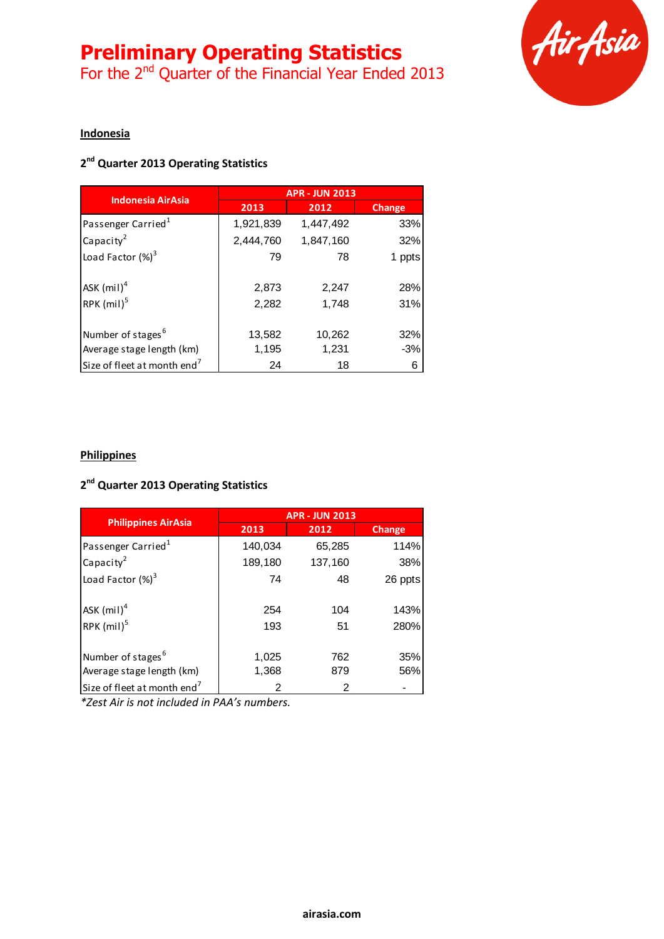# **Preliminary Operating Statistics**

For the 2<sup>nd</sup> Quarter of the Financial Year Ended 2013



### **Indonesia**

## **2 nd Quarter 2013 Operating Statistics**

| <b>Indonesia AirAsia</b>                | <b>APR - JUN 2013</b> |                |               |
|-----------------------------------------|-----------------------|----------------|---------------|
|                                         | 2013                  | 2012           | <b>Change</b> |
| Passenger Carried <sup>1</sup>          | 1,921,839             | 1,447,492      | 33%           |
| Capacity <sup>2</sup>                   | 2,444,760             | 1,847,160      | 32%           |
| Load Factor $(\%)^3$                    | 79                    | 78             | 1 ppts        |
| ASK $(mil)^4$<br>RPK $(mil)^5$          | 2,873<br>2,282        | 2,247<br>1,748 | 28%<br>31%    |
| Number of stages <sup>6</sup>           | 13,582                | 10,262         | 32%           |
| Average stage length (km)               | 1,195                 | 1,231          | $-3%$         |
| Size of fleet at month end <sup>7</sup> | 24                    | 18             | 6             |

### **Philippines**

## **2 nd Quarter 2013 Operating Statistics**

| <b>Philippines AirAsia</b>              | <b>APR - JUN 2013</b> |         |         |
|-----------------------------------------|-----------------------|---------|---------|
|                                         | 2013                  | 2012    | Change  |
| Passenger Carried <sup>1</sup>          | 140,034               | 65,285  | 114%    |
| Capacity <sup>2</sup>                   | 189,180               | 137,160 | 38%     |
| Load Factor $(\%)^3$                    | 74                    | 48      | 26 ppts |
| ASK $(mil)^4$                           | 254                   | 104     | 143%    |
| RPK $(mil)^5$                           | 193                   | 51      | 280%    |
| Number of stages <sup>6</sup>           | 1,025                 | 762     | 35%     |
| Average stage length (km)               | 1,368                 | 879     | 56%     |
| Size of fleet at month end <sup>7</sup> | 2                     | 2       |         |

*\*Zest Air is not included in PAA's numbers.*